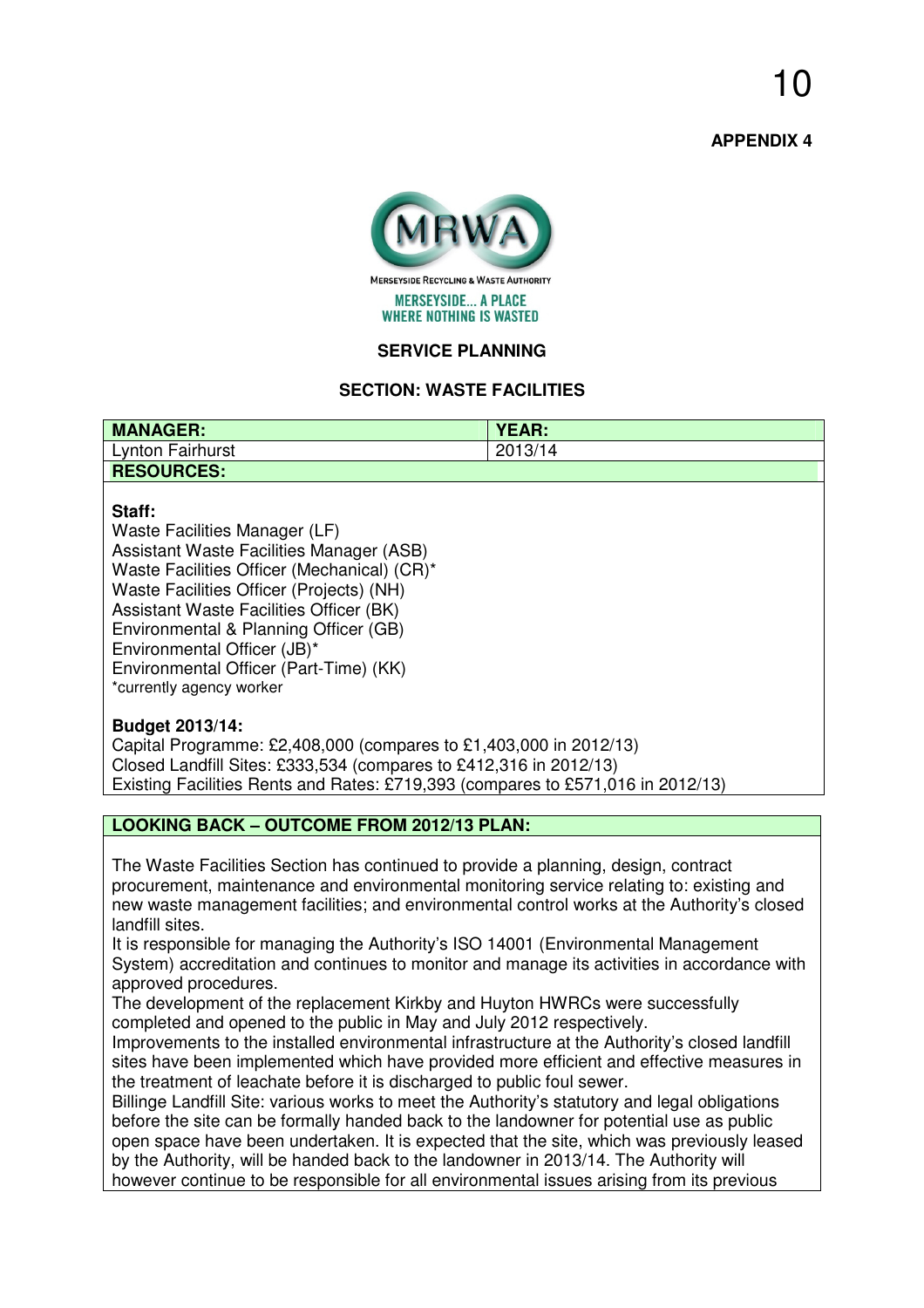**APPENDIX 4** 



### **SERVICE PLANNING**

# **SECTION: WASTE FACILITIES**

| <b>MANAGER:</b>   | <b>YEAR:</b> |
|-------------------|--------------|
| Lynton Fairhurst  | 2013/14      |
| <b>RESOURCES:</b> |              |
|                   |              |

#### **Staff:**

Waste Facilities Manager (LF) Assistant Waste Facilities Manager (ASB) Waste Facilities Officer (Mechanical) (CR)\* Waste Facilities Officer (Projects) (NH) Assistant Waste Facilities Officer (BK) Environmental & Planning Officer (GB) Environmental Officer (JB)\* Environmental Officer (Part-Time) (KK) \*currently agency worker

#### **Budget 2013/14:**

Capital Programme: £2,408,000 (compares to £1,403,000 in 2012/13) Closed Landfill Sites: £333,534 (compares to £412,316 in 2012/13) Existing Facilities Rents and Rates: £719,393 (compares to £571,016 in 2012/13)

## **LOOKING BACK – OUTCOME FROM 2012/13 PLAN:**

The Waste Facilities Section has continued to provide a planning, design, contract procurement, maintenance and environmental monitoring service relating to: existing and new waste management facilities; and environmental control works at the Authority's closed landfill sites.

It is responsible for managing the Authority's ISO 14001 (Environmental Management System) accreditation and continues to monitor and manage its activities in accordance with approved procedures.

The development of the replacement Kirkby and Huyton HWRCs were successfully completed and opened to the public in May and July 2012 respectively.

Improvements to the installed environmental infrastructure at the Authority's closed landfill sites have been implemented which have provided more efficient and effective measures in the treatment of leachate before it is discharged to public foul sewer.

Billinge Landfill Site: various works to meet the Authority's statutory and legal obligations before the site can be formally handed back to the landowner for potential use as public open space have been undertaken. It is expected that the site, which was previously leased by the Authority, will be handed back to the landowner in 2013/14. The Authority will however continue to be responsible for all environmental issues arising from its previous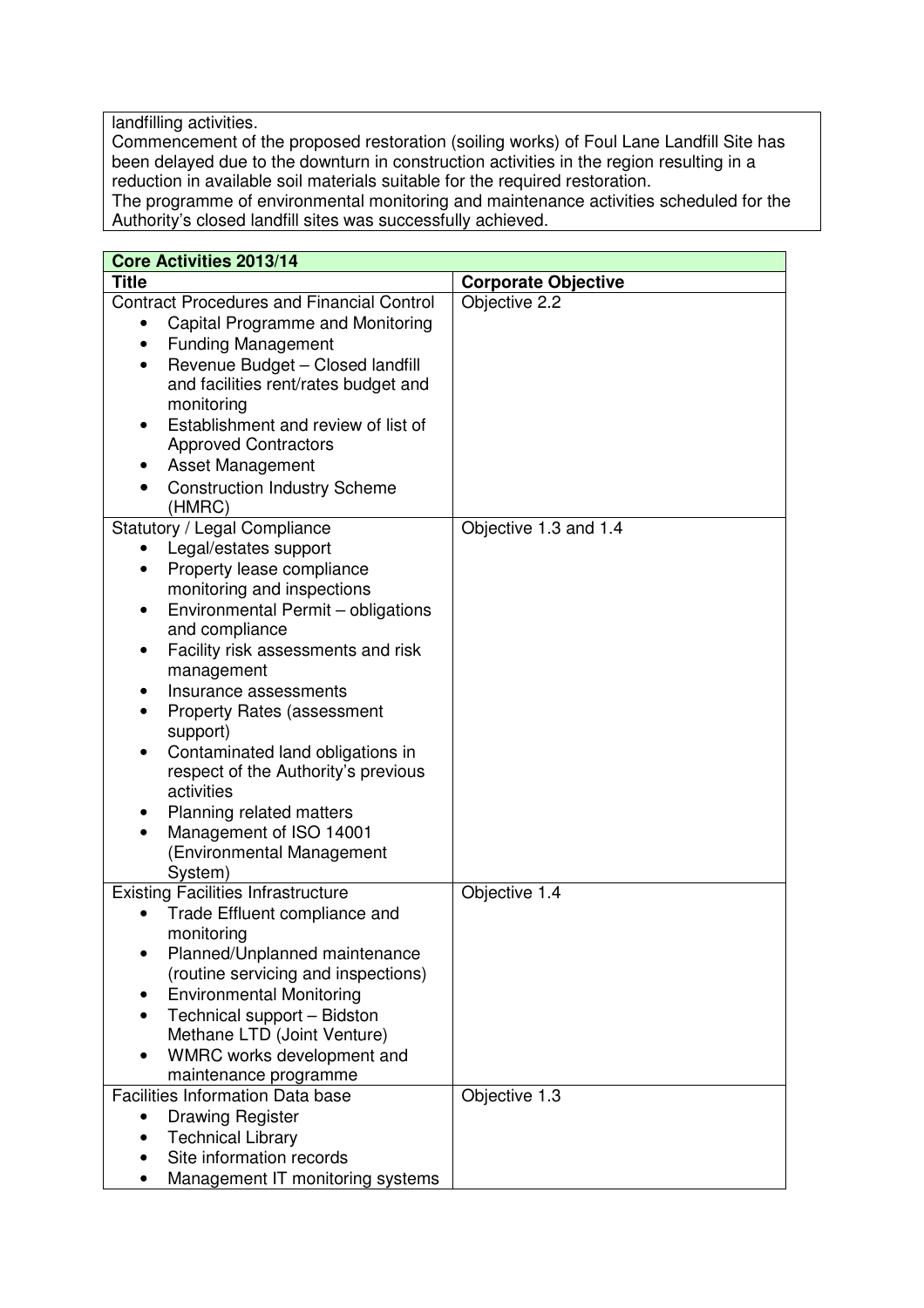landfilling activities.

Commencement of the proposed restoration (soiling works) of Foul Lane Landfill Site has been delayed due to the downturn in construction activities in the region resulting in a reduction in available soil materials suitable for the required restoration.

The programme of environmental monitoring and maintenance activities scheduled for the Authority's closed landfill sites was successfully achieved.

| <b>Core Activities 2013/14</b>                                                                                                                                                                                                                                                                                                                                                                                                                                                                                           |                            |  |  |  |  |
|--------------------------------------------------------------------------------------------------------------------------------------------------------------------------------------------------------------------------------------------------------------------------------------------------------------------------------------------------------------------------------------------------------------------------------------------------------------------------------------------------------------------------|----------------------------|--|--|--|--|
| <b>Title</b>                                                                                                                                                                                                                                                                                                                                                                                                                                                                                                             | <b>Corporate Objective</b> |  |  |  |  |
| <b>Contract Procedures and Financial Control</b><br>Capital Programme and Monitoring<br><b>Funding Management</b><br>Revenue Budget - Closed landfill<br>and facilities rent/rates budget and<br>monitoring<br>Establishment and review of list of<br><b>Approved Contractors</b><br><b>Asset Management</b><br><b>Construction Industry Scheme</b><br>(HMRC)                                                                                                                                                            | Objective 2.2              |  |  |  |  |
| Statutory / Legal Compliance<br>Legal/estates support<br>Property lease compliance<br>monitoring and inspections<br>Environmental Permit - obligations<br>$\bullet$<br>and compliance<br>Facility risk assessments and risk<br>management<br>Insurance assessments<br><b>Property Rates (assessment</b><br>support)<br>Contaminated land obligations in<br>$\bullet$<br>respect of the Authority's previous<br>activities<br>Planning related matters<br>Management of ISO 14001<br>(Environmental Management<br>System) | Objective 1.3 and 1.4      |  |  |  |  |
| <b>Existing Facilities Infrastructure</b><br>Trade Effluent compliance and<br>monitoring<br>Planned/Unplanned maintenance<br>(routine servicing and inspections)<br><b>Environmental Monitoring</b><br>Technical support - Bidston<br>Methane LTD (Joint Venture)<br>WMRC works development and<br>maintenance programme                                                                                                                                                                                                 | Objective 1.4              |  |  |  |  |
| <b>Facilities Information Data base</b><br><b>Drawing Register</b><br><b>Technical Library</b><br>Site information records<br>Management IT monitoring systems                                                                                                                                                                                                                                                                                                                                                           | Objective 1.3              |  |  |  |  |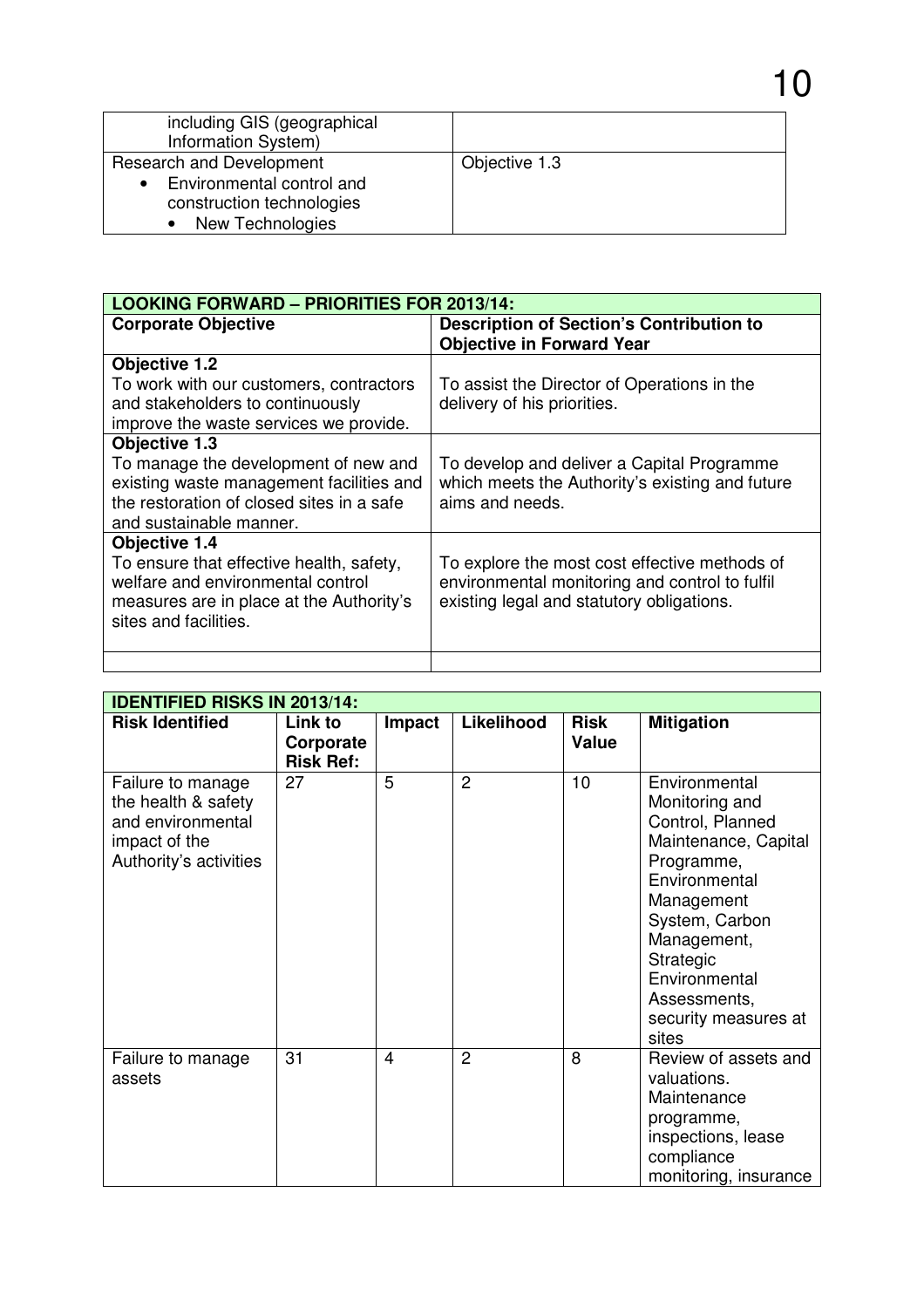| including GIS (geographical<br>Information System)                                                                  |               |
|---------------------------------------------------------------------------------------------------------------------|---------------|
| Research and Development<br>Environmental control and<br>$\bullet$<br>construction technologies<br>New Technologies | Objective 1.3 |

10

| <b>LOOKING FORWARD - PRIORITIES FOR 2013/14:</b>                                                                                                                    |                                                                                                                                              |  |  |  |
|---------------------------------------------------------------------------------------------------------------------------------------------------------------------|----------------------------------------------------------------------------------------------------------------------------------------------|--|--|--|
| <b>Corporate Objective</b>                                                                                                                                          | <b>Description of Section's Contribution to</b><br><b>Objective in Forward Year</b>                                                          |  |  |  |
| <b>Objective 1.2</b><br>To work with our customers, contractors                                                                                                     |                                                                                                                                              |  |  |  |
| and stakeholders to continuously<br>improve the waste services we provide.                                                                                          | To assist the Director of Operations in the<br>delivery of his priorities.                                                                   |  |  |  |
| <b>Objective 1.3</b>                                                                                                                                                |                                                                                                                                              |  |  |  |
| To manage the development of new and<br>existing waste management facilities and<br>the restoration of closed sites in a safe<br>and sustainable manner.            | To develop and deliver a Capital Programme<br>which meets the Authority's existing and future<br>aims and needs.                             |  |  |  |
| Objective 1.4<br>To ensure that effective health, safety,<br>welfare and environmental control<br>measures are in place at the Authority's<br>sites and facilities. | To explore the most cost effective methods of<br>environmental monitoring and control to fulfil<br>existing legal and statutory obligations. |  |  |  |
|                                                                                                                                                                     |                                                                                                                                              |  |  |  |

| <b>IDENTIFIED RISKS IN 2013/14:</b>                                                                      |                                          |                |                |                      |                                                                                                                                                                                                                                          |  |
|----------------------------------------------------------------------------------------------------------|------------------------------------------|----------------|----------------|----------------------|------------------------------------------------------------------------------------------------------------------------------------------------------------------------------------------------------------------------------------------|--|
| <b>Risk Identified</b>                                                                                   | Link to<br>Corporate<br><b>Risk Ref:</b> | Impact         | Likelihood     | <b>Risk</b><br>Value | <b>Mitigation</b>                                                                                                                                                                                                                        |  |
| Failure to manage<br>the health & safety<br>and environmental<br>impact of the<br>Authority's activities | 27                                       | 5              | $\overline{2}$ | 10                   | Environmental<br>Monitoring and<br>Control, Planned<br>Maintenance, Capital<br>Programme,<br>Environmental<br>Management<br>System, Carbon<br>Management,<br>Strategic<br>Environmental<br>Assessments,<br>security measures at<br>sites |  |
| Failure to manage<br>assets                                                                              | 31                                       | $\overline{4}$ | 2              | 8                    | Review of assets and<br>valuations.<br>Maintenance<br>programme,<br>inspections, lease<br>compliance<br>monitoring, insurance                                                                                                            |  |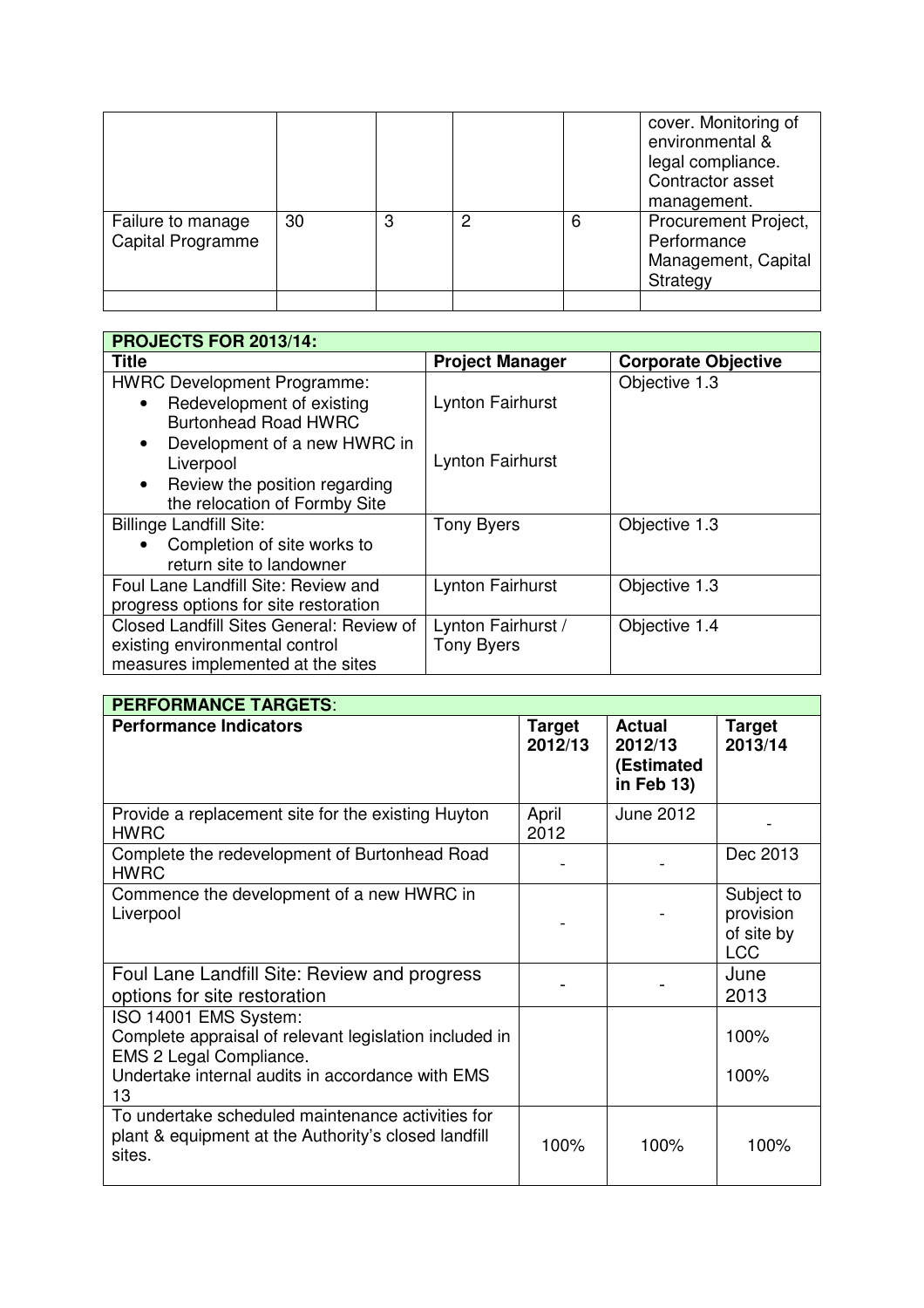|                                               |    |   |   |   | cover. Monitoring of<br>environmental &<br>legal compliance.<br>Contractor asset<br>management. |
|-----------------------------------------------|----|---|---|---|-------------------------------------------------------------------------------------------------|
| Failure to manage<br><b>Capital Programme</b> | 30 | 3 | っ | 6 | Procurement Project,<br>Performance<br>Management, Capital<br>Strategy                          |
|                                               |    |   |   |   |                                                                                                 |

| PROJECTS FOR 2013/14:                      |                         |                            |  |  |  |
|--------------------------------------------|-------------------------|----------------------------|--|--|--|
| <b>Title</b>                               | <b>Project Manager</b>  | <b>Corporate Objective</b> |  |  |  |
| <b>HWRC Development Programme:</b>         |                         | Objective 1.3              |  |  |  |
| Redevelopment of existing                  | <b>Lynton Fairhurst</b> |                            |  |  |  |
| <b>Burtonhead Road HWRC</b>                |                         |                            |  |  |  |
| Development of a new HWRC in               |                         |                            |  |  |  |
| Liverpool                                  | Lynton Fairhurst        |                            |  |  |  |
| Review the position regarding<br>$\bullet$ |                         |                            |  |  |  |
| the relocation of Formby Site              |                         |                            |  |  |  |
| <b>Billinge Landfill Site:</b>             | <b>Tony Byers</b>       | Objective 1.3              |  |  |  |
| Completion of site works to                |                         |                            |  |  |  |
| return site to landowner                   |                         |                            |  |  |  |
| Foul Lane Landfill Site: Review and        | <b>Lynton Fairhurst</b> | Objective 1.3              |  |  |  |
| progress options for site restoration      |                         |                            |  |  |  |
| Closed Landfill Sites General: Review of   | Lynton Fairhurst /      | Objective 1.4              |  |  |  |
| existing environmental control             | <b>Tony Byers</b>       |                            |  |  |  |
| measures implemented at the sites          |                         |                            |  |  |  |

| <b>PERFORMANCE TARGETS:</b>                                                                                                                                          |                          |                                                      |                                                     |  |  |
|----------------------------------------------------------------------------------------------------------------------------------------------------------------------|--------------------------|------------------------------------------------------|-----------------------------------------------------|--|--|
| <b>Performance Indicators</b>                                                                                                                                        | <b>Target</b><br>2012/13 | <b>Actual</b><br>2012/13<br>(Estimated<br>in Feb 13) | Target<br>2013/14                                   |  |  |
| Provide a replacement site for the existing Huyton<br><b>HWRC</b>                                                                                                    | April<br>2012            | June 2012                                            |                                                     |  |  |
| Complete the redevelopment of Burtonhead Road<br><b>HWRC</b>                                                                                                         |                          |                                                      | Dec 2013                                            |  |  |
| Commence the development of a new HWRC in<br>Liverpool                                                                                                               |                          |                                                      | Subject to<br>provision<br>of site by<br><b>LCC</b> |  |  |
| Foul Lane Landfill Site: Review and progress<br>options for site restoration                                                                                         |                          |                                                      | June<br>2013                                        |  |  |
| ISO 14001 EMS System:<br>Complete appraisal of relevant legislation included in<br>EMS 2 Legal Compliance.<br>Undertake internal audits in accordance with EMS<br>13 |                          |                                                      | 100%<br>100%                                        |  |  |
| To undertake scheduled maintenance activities for<br>plant & equipment at the Authority's closed landfill<br>sites.                                                  | 100%                     | 100%                                                 | 100%                                                |  |  |